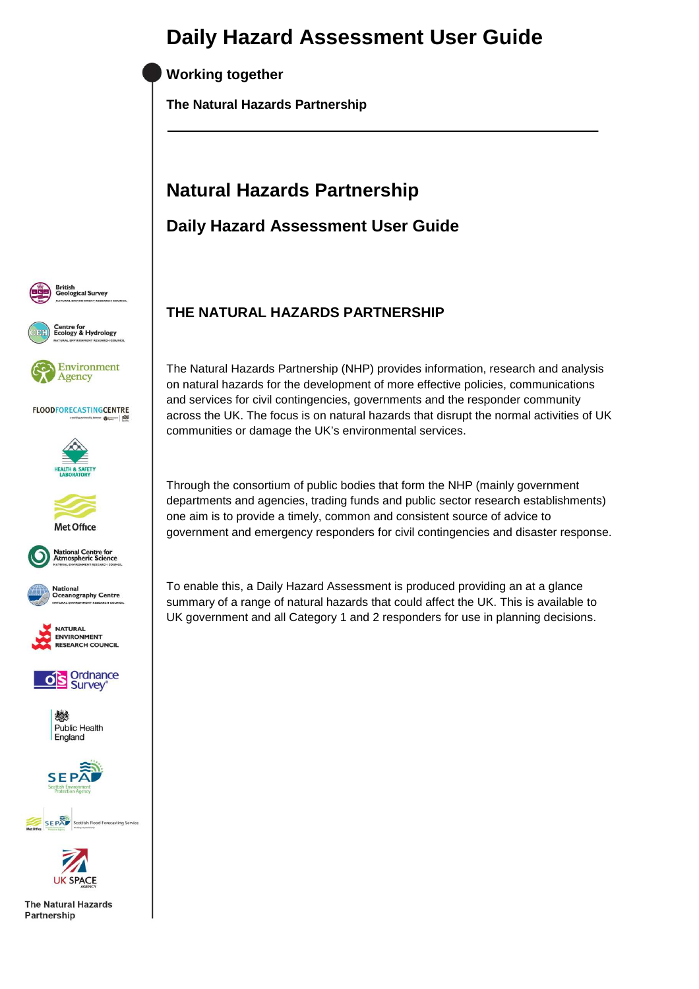**Working together** 

**The Natural Hazards Partnership** 

# **Natural Hazards Partnership**

**Daily Hazard Assessment User Guide** 



























**UK SPACE The Natural Hazards** 

Partnership

**THE NATURAL HAZARDS PARTNERSHIP** 

The Natural Hazards Partnership (NHP) provides information, research and analysis on natural hazards for the development of more effective policies, communications and services for civil contingencies, governments and the responder community across the UK. The focus is on natural hazards that disrupt the normal activities of UK communities or damage the UK's environmental services.

Through the consortium of public bodies that form the NHP (mainly government departments and agencies, trading funds and public sector research establishments) one aim is to provide a timely, common and consistent source of advice to government and emergency responders for civil contingencies and disaster response.

To enable this, a Daily Hazard Assessment is produced providing an at a glance summary of a range of natural hazards that could affect the UK. This is available to UK government and all Category 1 and 2 responders for use in planning decisions.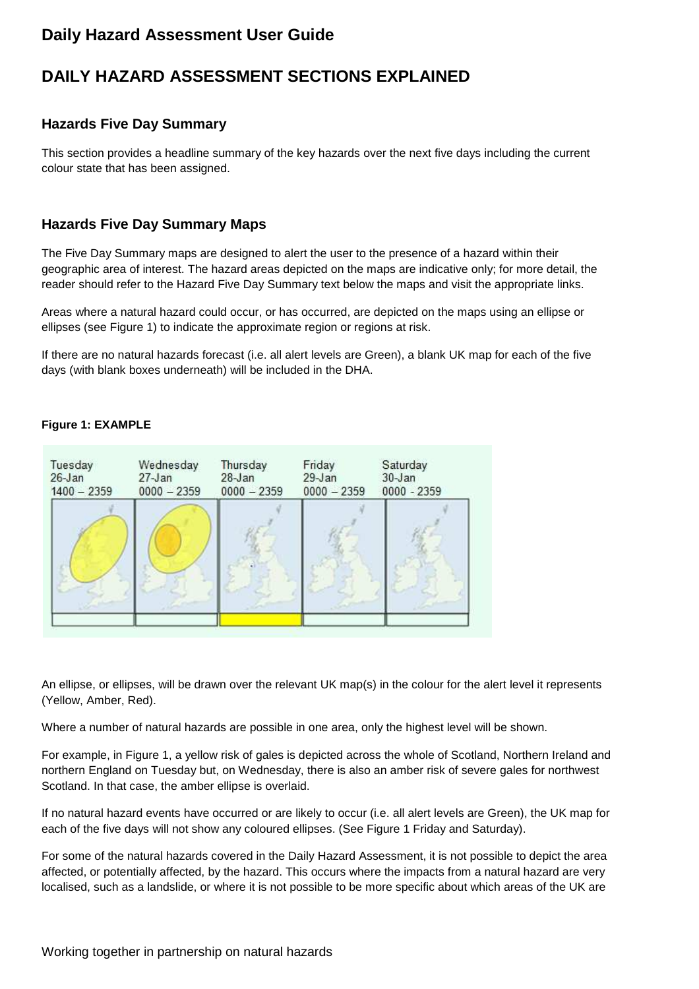## **DAILY HAZARD ASSESSMENT SECTIONS EXPLAINED**

## **Hazards Five Day Summary**

This section provides a headline summary of the key hazards over the next five days including the current colour state that has been assigned.

## **Hazards Five Day Summary Maps**

The Five Day Summary maps are designed to alert the user to the presence of a hazard within their geographic area of interest. The hazard areas depicted on the maps are indicative only; for more detail, the reader should refer to the Hazard Five Day Summary text below the maps and visit the appropriate links.

Areas where a natural hazard could occur, or has occurred, are depicted on the maps using an ellipse or ellipses (see Figure 1) to indicate the approximate region or regions at risk.

If there are no natural hazards forecast (i.e. all alert levels are Green), a blank UK map for each of the five days (with blank boxes underneath) will be included in the DHA.

#### Tuesday Wednesday Thursday Friday Saturday  $26 - Jan$  $27 - Jan$  $28 - Jan$  $29-Jan$  $30 - Jan$  $1400 - 2359$  $0000 - 2359$  $0000 - 2359$  $0000 - 2359$  $0000 - 2359$

### **Figure 1: EXAMPLE**

An ellipse, or ellipses, will be drawn over the relevant UK map(s) in the colour for the alert level it represents (Yellow, Amber, Red).

Where a number of natural hazards are possible in one area, only the highest level will be shown.

For example, in Figure 1, a yellow risk of gales is depicted across the whole of Scotland, Northern Ireland and northern England on Tuesday but, on Wednesday, there is also an amber risk of severe gales for northwest Scotland. In that case, the amber ellipse is overlaid.

If no natural hazard events have occurred or are likely to occur (i.e. all alert levels are Green), the UK map for each of the five days will not show any coloured ellipses. (See Figure 1 Friday and Saturday).

For some of the natural hazards covered in the Daily Hazard Assessment, it is not possible to depict the area affected, or potentially affected, by the hazard. This occurs where the impacts from a natural hazard are very localised, such as a landslide, or where it is not possible to be more specific about which areas of the UK are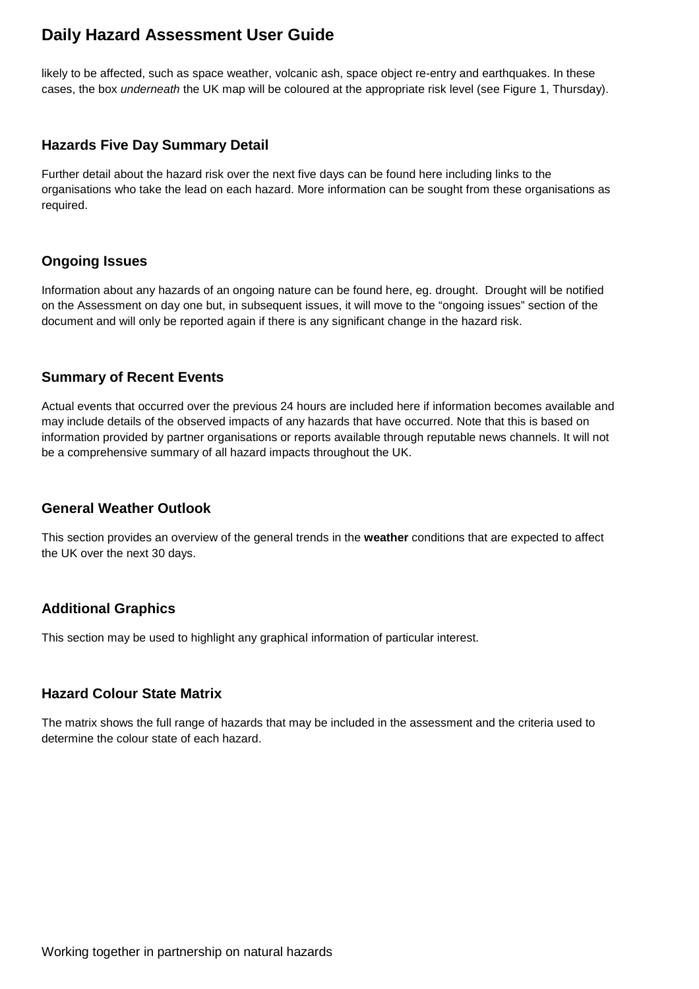likely to be affected, such as space weather, volcanic ash, space object re-entry and earthquakes. In these cases, the box underneath the UK map will be coloured at the appropriate risk level (see Figure 1, Thursday).

### **Hazards Five Day Summary Detail**

Further detail about the hazard risk over the next five days can be found here including links to the organisations who take the lead on each hazard. More information can be sought from these organisations as required.

## **Ongoing Issues**

Information about any hazards of an ongoing nature can be found here, eg. drought. Drought will be notified on the Assessment on day one but, in subsequent issues, it will move to the "ongoing issues" section of the document and will only be reported again if there is any significant change in the hazard risk.

### **Summary of Recent Events**

Actual events that occurred over the previous 24 hours are included here if information becomes available and may include details of the observed impacts of any hazards that have occurred. Note that this is based on information provided by partner organisations or reports available through reputable news channels. It will not be a comprehensive summary of all hazard impacts throughout the UK.

### **General Weather Outlook**

This section provides an overview of the general trends in the **weather** conditions that are expected to affect the UK over the next 30 days.

### **Additional Graphics**

This section may be used to highlight any graphical information of particular interest.

### **Hazard Colour State Matrix**

The matrix shows the full range of hazards that may be included in the assessment and the criteria used to determine the colour state of each hazard.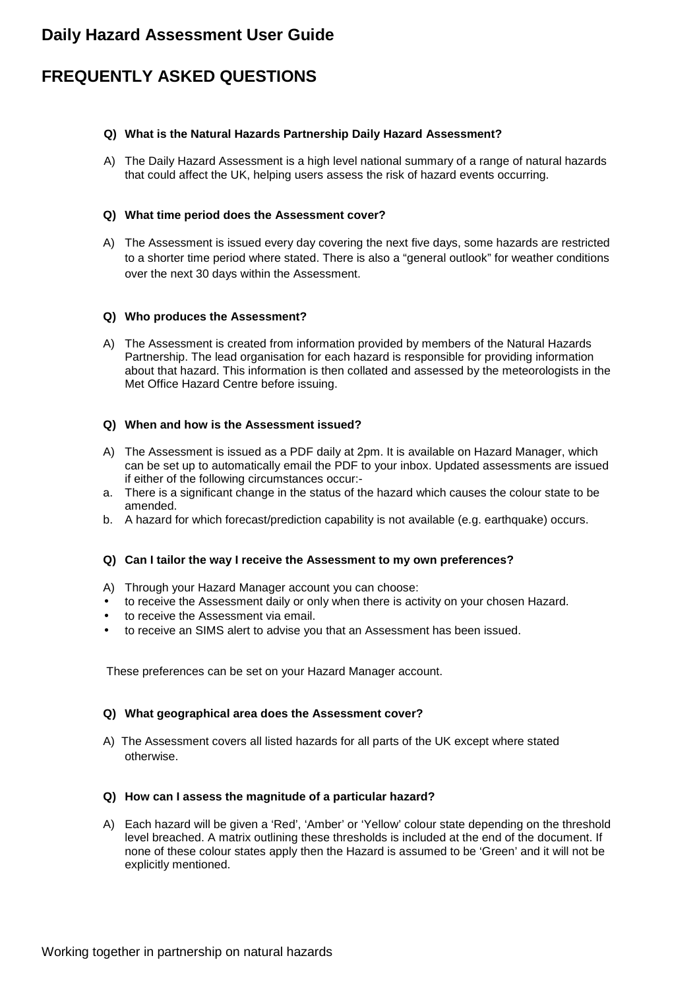## **FREQUENTLY ASKED QUESTIONS**

#### **Q) What is the Natural Hazards Partnership Daily Hazard Assessment?**

A) The Daily Hazard Assessment is a high level national summary of a range of natural hazards that could affect the UK, helping users assess the risk of hazard events occurring.

#### **Q) What time period does the Assessment cover?**

A) The Assessment is issued every day covering the next five days, some hazards are restricted to a shorter time period where stated. There is also a "general outlook" for weather conditions over the next 30 days within the Assessment.

#### **Q) Who produces the Assessment?**

A) The Assessment is created from information provided by members of the Natural Hazards Partnership. The lead organisation for each hazard is responsible for providing information about that hazard. This information is then collated and assessed by the meteorologists in the Met Office Hazard Centre before issuing.

#### **Q) When and how is the Assessment issued?**

- A) The Assessment is issued as a PDF daily at 2pm. It is available on Hazard Manager, which can be set up to automatically email the PDF to your inbox. Updated assessments are issued if either of the following circumstances occur:-
- a. There is a significant change in the status of the hazard which causes the colour state to be amended.
- b. A hazard for which forecast/prediction capability is not available (e.g. earthquake) occurs.

#### **Q) Can I tailor the way I receive the Assessment to my own preferences?**

- A) Through your Hazard Manager account you can choose:
- to receive the Assessment daily or only when there is activity on your chosen Hazard.
- to receive the Assessment via email.
- to receive an SIMS alert to advise you that an Assessment has been issued.

These preferences can be set on your Hazard Manager account.

#### **Q) What geographical area does the Assessment cover?**

A) The Assessment covers all listed hazards for all parts of the UK except where stated otherwise.

#### **Q) How can I assess the magnitude of a particular hazard?**

A) Each hazard will be given a 'Red', 'Amber' or 'Yellow' colour state depending on the threshold level breached. A matrix outlining these thresholds is included at the end of the document. If none of these colour states apply then the Hazard is assumed to be 'Green' and it will not be explicitly mentioned.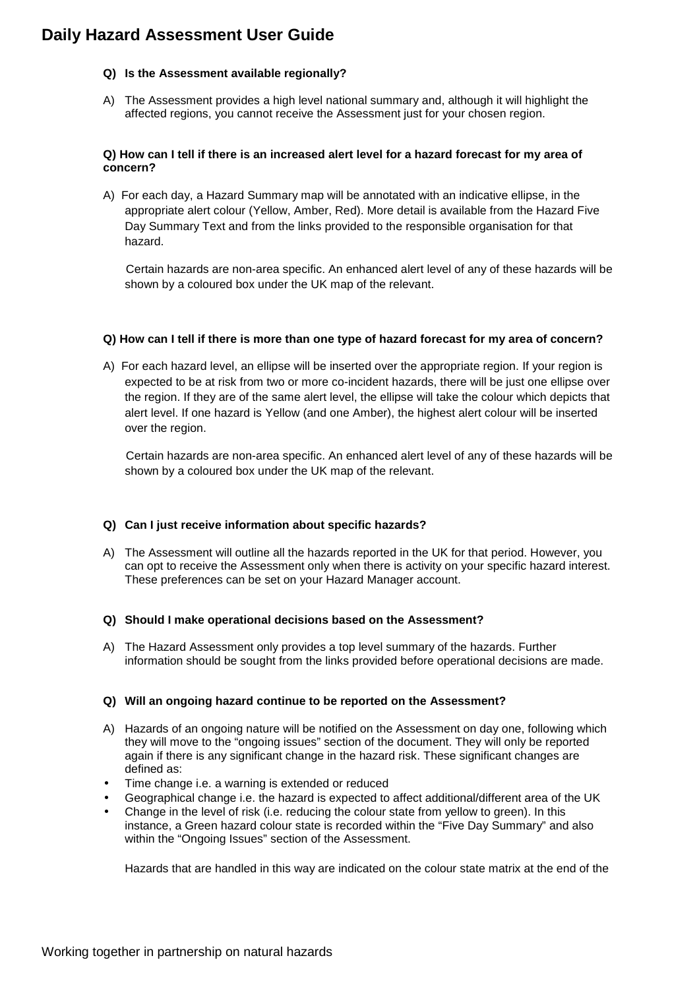#### **Q) Is the Assessment available regionally?**

A) The Assessment provides a high level national summary and, although it will highlight the affected regions, you cannot receive the Assessment just for your chosen region.

#### **Q) How can I tell if there is an increased alert level for a hazard forecast for my area of concern?**

A) For each day, a Hazard Summary map will be annotated with an indicative ellipse, in the appropriate alert colour (Yellow, Amber, Red). More detail is available from the Hazard Five Day Summary Text and from the links provided to the responsible organisation for that hazard.

 Certain hazards are non-area specific. An enhanced alert level of any of these hazards will be shown by a coloured box under the UK map of the relevant.

#### **Q) How can I tell if there is more than one type of hazard forecast for my area of concern?**

A) For each hazard level, an ellipse will be inserted over the appropriate region. If your region is expected to be at risk from two or more co-incident hazards, there will be just one ellipse over the region. If they are of the same alert level, the ellipse will take the colour which depicts that alert level. If one hazard is Yellow (and one Amber), the highest alert colour will be inserted over the region.

 Certain hazards are non-area specific. An enhanced alert level of any of these hazards will be shown by a coloured box under the UK map of the relevant.

#### **Q) Can I just receive information about specific hazards?**

A) The Assessment will outline all the hazards reported in the UK for that period. However, you can opt to receive the Assessment only when there is activity on your specific hazard interest. These preferences can be set on your Hazard Manager account.

#### **Q) Should I make operational decisions based on the Assessment?**

A) The Hazard Assessment only provides a top level summary of the hazards. Further information should be sought from the links provided before operational decisions are made.

#### **Q) Will an ongoing hazard continue to be reported on the Assessment?**

- A) Hazards of an ongoing nature will be notified on the Assessment on day one, following which they will move to the "ongoing issues" section of the document. They will only be reported again if there is any significant change in the hazard risk. These significant changes are defined as:
- Time change i.e. a warning is extended or reduced
- Geographical change i.e. the hazard is expected to affect additional/different area of the UK
- Change in the level of risk (i.e. reducing the colour state from yellow to green). In this instance, a Green hazard colour state is recorded within the "Five Day Summary" and also within the "Ongoing Issues" section of the Assessment.

Hazards that are handled in this way are indicated on the colour state matrix at the end of the